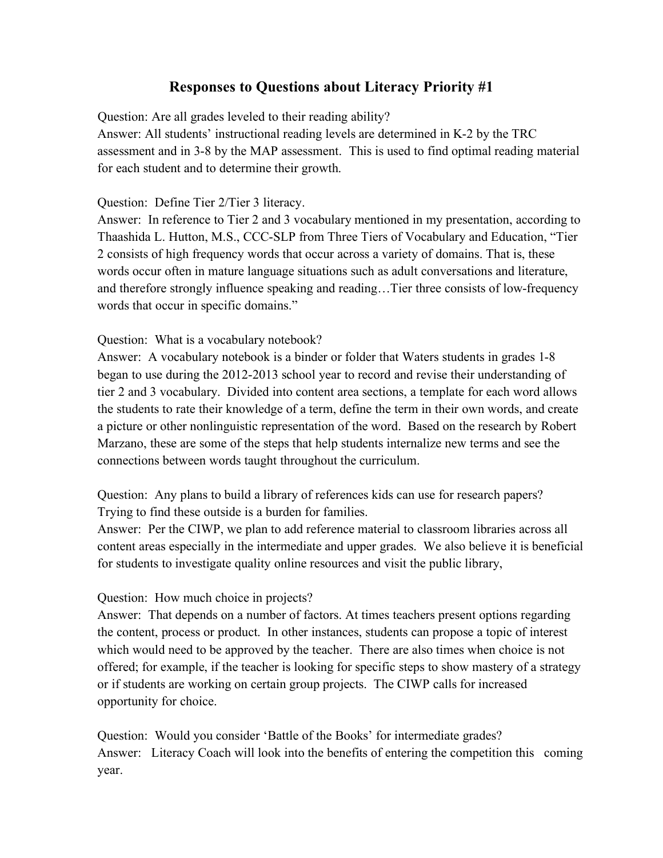## **Responses to Questions about Literacy Priority #1**

Question: Are all grades leveled to their reading ability?

Answer: All students' instructional reading levels are determined in K-2 by the TRC assessment and in 3-8 by the MAP assessment. This is used to find optimal reading material for each student and to determine their growth.

### Question: Define Tier 2/Tier 3 literacy.

Answer: In reference to Tier 2 and 3 vocabulary mentioned in my presentation, according to Thaashida L. Hutton, M.S., CCC-SLP from Three Tiers of Vocabulary and Education, "Tier 2 consists of high frequency words that occur across a variety of domains. That is, these words occur often in mature language situations such as adult conversations and literature, and therefore strongly influence speaking and reading…Tier three consists of low-frequency words that occur in specific domains."

### Question: What is a vocabulary notebook?

Answer: A vocabulary notebook is a binder or folder that Waters students in grades 1-8 began to use during the 2012-2013 school year to record and revise their understanding of tier 2 and 3 vocabulary. Divided into content area sections, a template for each word allows the students to rate their knowledge of a term, define the term in their own words, and create a picture or other nonlinguistic representation of the word. Based on the research by Robert Marzano, these are some of the steps that help students internalize new terms and see the connections between words taught throughout the curriculum.

Question: Any plans to build a library of references kids can use for research papers? Trying to find these outside is a burden for families.

Answer: Per the CIWP, we plan to add reference material to classroom libraries across all content areas especially in the intermediate and upper grades. We also believe it is beneficial for students to investigate quality online resources and visit the public library,

#### Question: How much choice in projects?

Answer: That depends on a number of factors. At times teachers present options regarding the content, process or product. In other instances, students can propose a topic of interest which would need to be approved by the teacher. There are also times when choice is not offered; for example, if the teacher is looking for specific steps to show mastery of a strategy or if students are working on certain group projects. The CIWP calls for increased opportunity for choice.

Question: Would you consider 'Battle of the Books' for intermediate grades? Answer: Literacy Coach will look into the benefits of entering the competition this coming year.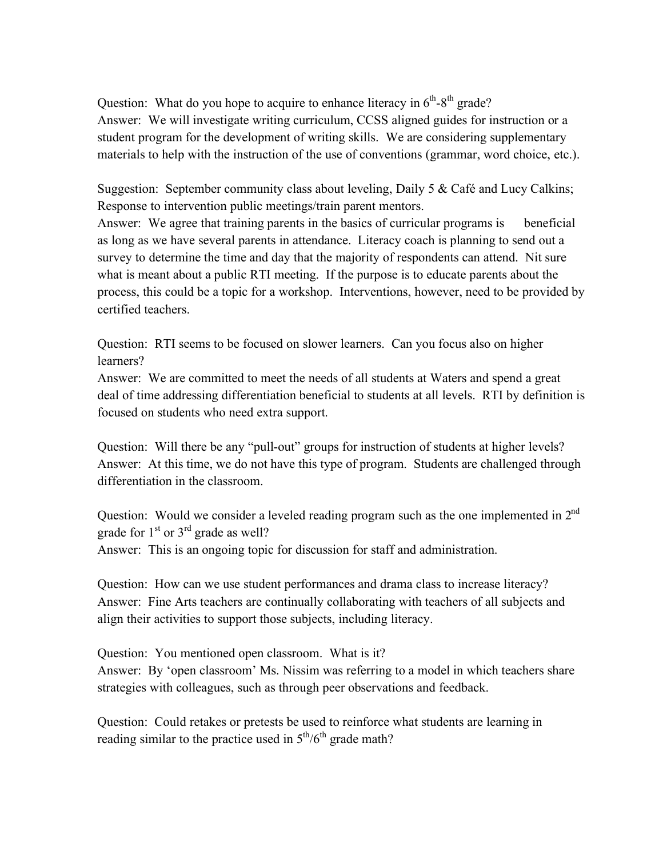Question: What do you hope to acquire to enhance literacy in  $6<sup>th</sup> - 8<sup>th</sup>$  grade? Answer: We will investigate writing curriculum, CCSS aligned guides for instruction or a student program for the development of writing skills. We are considering supplementary materials to help with the instruction of the use of conventions (grammar, word choice, etc.).

Suggestion: September community class about leveling, Daily 5 & Café and Lucy Calkins; Response to intervention public meetings/train parent mentors.

Answer: We agree that training parents in the basics of curricular programs is beneficial as long as we have several parents in attendance. Literacy coach is planning to send out a survey to determine the time and day that the majority of respondents can attend. Nit sure what is meant about a public RTI meeting. If the purpose is to educate parents about the process, this could be a topic for a workshop. Interventions, however, need to be provided by certified teachers.

Question: RTI seems to be focused on slower learners. Can you focus also on higher learners?

Answer: We are committed to meet the needs of all students at Waters and spend a great deal of time addressing differentiation beneficial to students at all levels. RTI by definition is focused on students who need extra support.

Question: Will there be any "pull-out" groups for instruction of students at higher levels? Answer: At this time, we do not have this type of program. Students are challenged through differentiation in the classroom.

Question: Would we consider a leveled reading program such as the one implemented in  $2<sup>nd</sup>$ grade for  $1<sup>st</sup>$  or  $3<sup>rd</sup>$  grade as well? Answer: This is an ongoing topic for discussion for staff and administration.

Question: How can we use student performances and drama class to increase literacy? Answer: Fine Arts teachers are continually collaborating with teachers of all subjects and align their activities to support those subjects, including literacy.

Question: You mentioned open classroom. What is it?

Answer: By 'open classroom' Ms. Nissim was referring to a model in which teachers share strategies with colleagues, such as through peer observations and feedback.

Question: Could retakes or pretests be used to reinforce what students are learning in reading similar to the practice used in  $5<sup>th</sup>/6<sup>th</sup>$  grade math?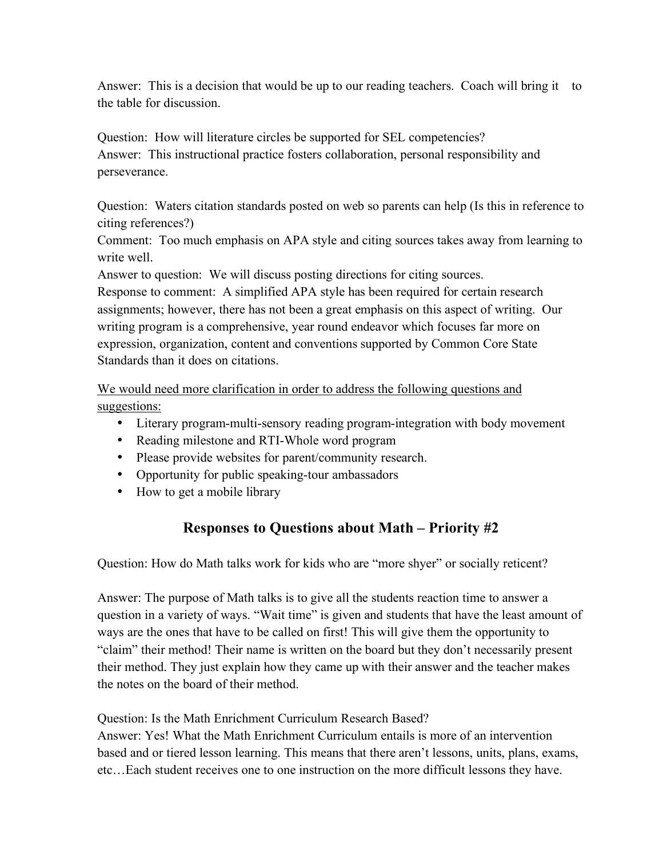Answer: This is a decision that would be up to our reading teachers. Coach will bring it to the table for discussion.

Question: How will literature circles be supported for SEL competencies? Answer: This instructional practice fosters collaboration, personal responsibility and perseverance.

Question: Waters citation standards posted on web so parents can help (Is this in reference to citing references?)

Comment: Too much emphasis on APA style and citing sources takes away from learning to write well.

Answer to question: We will discuss posting directions for citing sources.

Response to comment: A simplified APA style has been required for certain research assignments; however, there has not been a great emphasis on this aspect of writing. Our writing program is a comprehensive, year round endeavor which focuses far more on expression, organization, content and conventions supported by Common Core State Standards than it does on citations.

We would need more clarification in order to address the following questions and suggestions:

- Literary program-multi-sensory reading program-integration with body movement
- Reading milestone and RTI-Whole word program
- Please provide websites for parent/community research.
- Opportunity for public speaking-tour ambassadors
- How to get a mobile library

# **Responses to Questions about Math – Priority #2**

Question: How do Math talks work for kids who are "more shyer" or socially reticent?

Answer: The purpose of Math talks is to give all the students reaction time to answer a question in a variety of ways. "Wait time" is given and students that have the least amount of ways are the ones that have to be called on first! This will give them the opportunity to "claim" their method! Their name is written on the board but they don't necessarily present their method. They just explain how they came up with their answer and the teacher makes the notes on the board of their method.

Question: Is the Math Enrichment Curriculum Research Based?

Answer: Yes! What the Math Enrichment Curriculum entails is more of an intervention based and or tiered lesson learning. This means that there aren't lessons, units, plans, exams, etc…Each student receives one to one instruction on the more difficult lessons they have.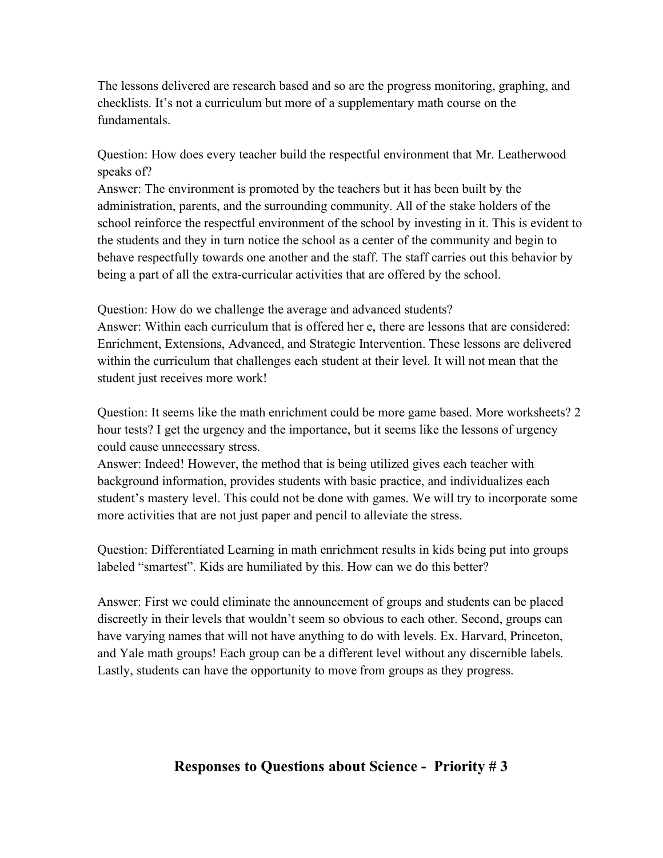The lessons delivered are research based and so are the progress monitoring, graphing, and checklists. It's not a curriculum but more of a supplementary math course on the fundamentals.

Question: How does every teacher build the respectful environment that Mr. Leatherwood speaks of?

Answer: The environment is promoted by the teachers but it has been built by the administration, parents, and the surrounding community. All of the stake holders of the school reinforce the respectful environment of the school by investing in it. This is evident to the students and they in turn notice the school as a center of the community and begin to behave respectfully towards one another and the staff. The staff carries out this behavior by being a part of all the extra-curricular activities that are offered by the school.

Question: How do we challenge the average and advanced students? Answer: Within each curriculum that is offered her e, there are lessons that are considered: Enrichment, Extensions, Advanced, and Strategic Intervention. These lessons are delivered within the curriculum that challenges each student at their level. It will not mean that the student just receives more work!

Question: It seems like the math enrichment could be more game based. More worksheets? 2 hour tests? I get the urgency and the importance, but it seems like the lessons of urgency could cause unnecessary stress.

Answer: Indeed! However, the method that is being utilized gives each teacher with background information, provides students with basic practice, and individualizes each student's mastery level. This could not be done with games. We will try to incorporate some more activities that are not just paper and pencil to alleviate the stress.

Question: Differentiated Learning in math enrichment results in kids being put into groups labeled "smartest". Kids are humiliated by this. How can we do this better?

Answer: First we could eliminate the announcement of groups and students can be placed discreetly in their levels that wouldn't seem so obvious to each other. Second, groups can have varying names that will not have anything to do with levels. Ex. Harvard, Princeton, and Yale math groups! Each group can be a different level without any discernible labels. Lastly, students can have the opportunity to move from groups as they progress.

## **Responses to Questions about Science - Priority # 3**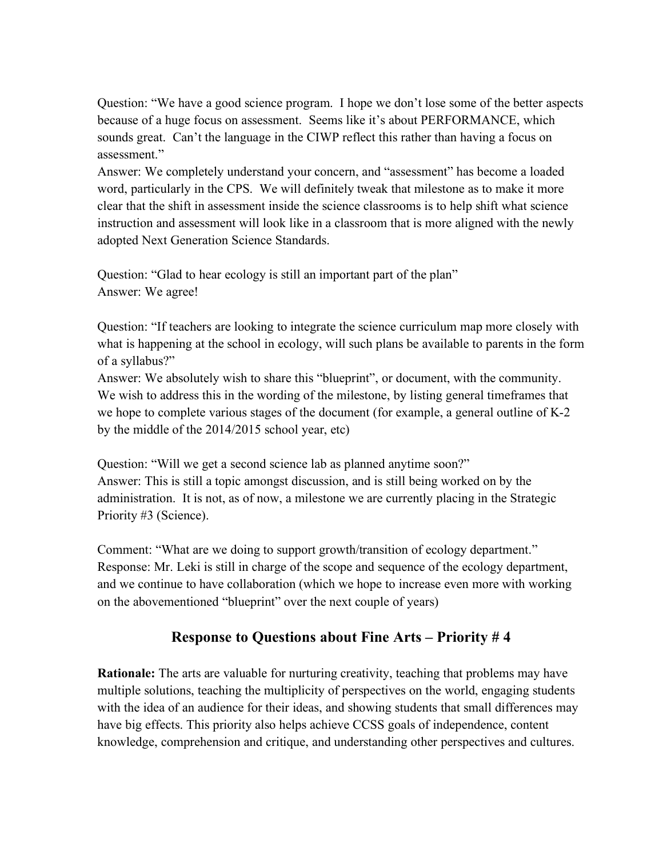Question: "We have a good science program. I hope we don't lose some of the better aspects because of a huge focus on assessment. Seems like it's about PERFORMANCE, which sounds great. Can't the language in the CIWP reflect this rather than having a focus on assessment."

Answer: We completely understand your concern, and "assessment" has become a loaded word, particularly in the CPS. We will definitely tweak that milestone as to make it more clear that the shift in assessment inside the science classrooms is to help shift what science instruction and assessment will look like in a classroom that is more aligned with the newly adopted Next Generation Science Standards.

Question: "Glad to hear ecology is still an important part of the plan" Answer: We agree!

Question: "If teachers are looking to integrate the science curriculum map more closely with what is happening at the school in ecology, will such plans be available to parents in the form of a syllabus?"

Answer: We absolutely wish to share this "blueprint", or document, with the community. We wish to address this in the wording of the milestone, by listing general timeframes that we hope to complete various stages of the document (for example, a general outline of K-2 by the middle of the 2014/2015 school year, etc)

Question: "Will we get a second science lab as planned anytime soon?" Answer: This is still a topic amongst discussion, and is still being worked on by the administration. It is not, as of now, a milestone we are currently placing in the Strategic Priority #3 (Science).

Comment: "What are we doing to support growth/transition of ecology department." Response: Mr. Leki is still in charge of the scope and sequence of the ecology department, and we continue to have collaboration (which we hope to increase even more with working on the abovementioned "blueprint" over the next couple of years)

# **Response to Questions about Fine Arts – Priority # 4**

**Rationale:** The arts are valuable for nurturing creativity, teaching that problems may have multiple solutions, teaching the multiplicity of perspectives on the world, engaging students with the idea of an audience for their ideas, and showing students that small differences may have big effects. This priority also helps achieve CCSS goals of independence, content knowledge, comprehension and critique, and understanding other perspectives and cultures.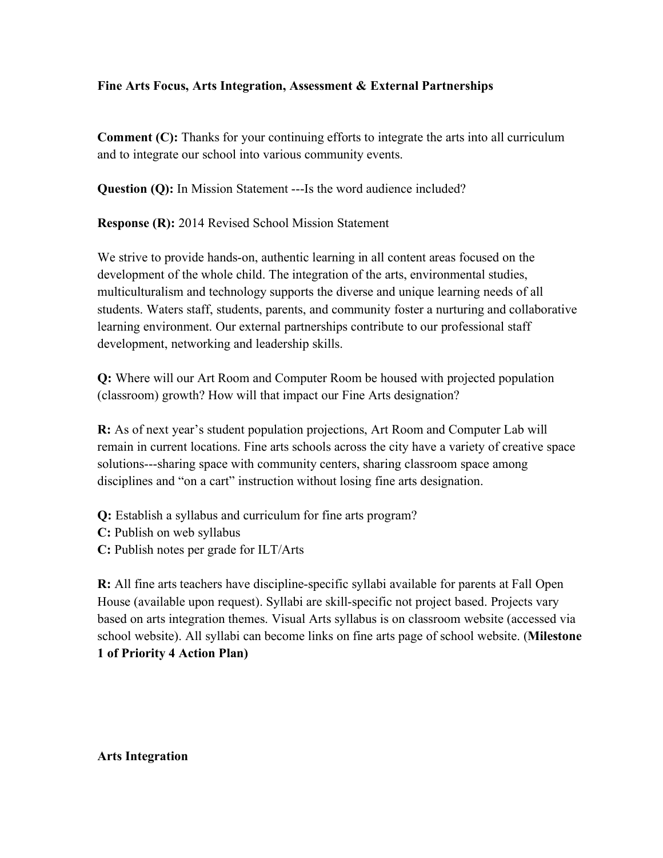#### **Fine Arts Focus, Arts Integration, Assessment & External Partnerships**

**Comment (C):** Thanks for your continuing efforts to integrate the arts into all curriculum and to integrate our school into various community events.

**Question (Q):** In Mission Statement ---Is the word audience included?

**Response (R):** 2014 Revised School Mission Statement

We strive to provide hands-on, authentic learning in all content areas focused on the development of the whole child. The integration of the arts, environmental studies, multiculturalism and technology supports the diverse and unique learning needs of all students. Waters staff, students, parents, and community foster a nurturing and collaborative learning environment. Our external partnerships contribute to our professional staff development, networking and leadership skills.

**Q:** Where will our Art Room and Computer Room be housed with projected population (classroom) growth? How will that impact our Fine Arts designation?

**R:** As of next year's student population projections, Art Room and Computer Lab will remain in current locations. Fine arts schools across the city have a variety of creative space solutions---sharing space with community centers, sharing classroom space among disciplines and "on a cart" instruction without losing fine arts designation.

- **Q:** Establish a syllabus and curriculum for fine arts program?
- **C:** Publish on web syllabus
- **C:** Publish notes per grade for ILT/Arts

**R:** All fine arts teachers have discipline-specific syllabi available for parents at Fall Open House (available upon request). Syllabi are skill-specific not project based. Projects vary based on arts integration themes. Visual Arts syllabus is on classroom website (accessed via school website). All syllabi can become links on fine arts page of school website. (**Milestone 1 of Priority 4 Action Plan)**

**Arts Integration**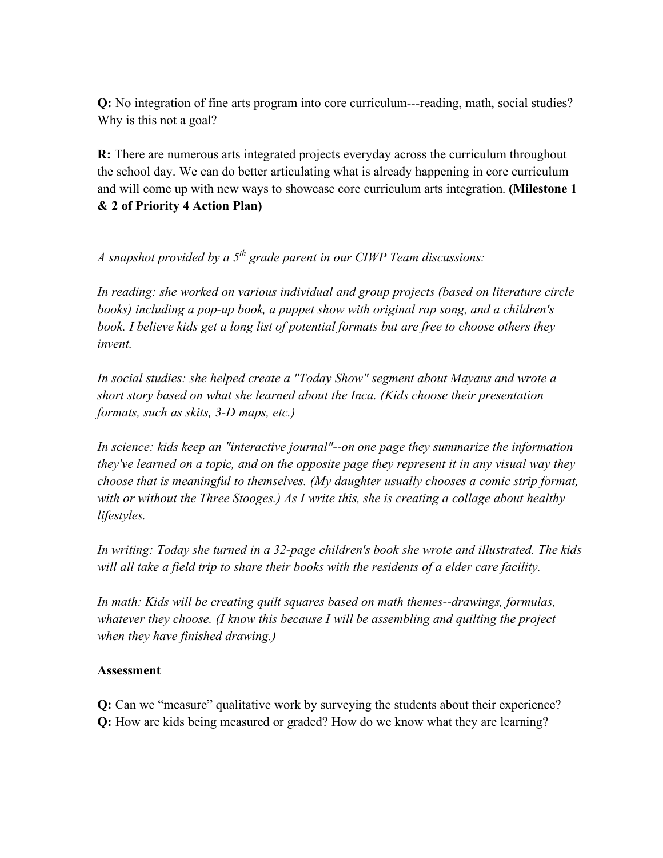**Q:** No integration of fine arts program into core curriculum---reading, math, social studies? Why is this not a goal?

**R:** There are numerous arts integrated projects everyday across the curriculum throughout the school day. We can do better articulating what is already happening in core curriculum and will come up with new ways to showcase core curriculum arts integration. **(Milestone 1 & 2 of Priority 4 Action Plan)**

*A snapshot provided by a 5th grade parent in our CIWP Team discussions:*

*In reading: she worked on various individual and group projects (based on literature circle books) including a pop-up book, a puppet show with original rap song, and a children's*  book. I believe kids get a long list of potential formats but are free to choose others they *invent.*

*In social studies: she helped create a "Today Show" segment about Mayans and wrote a short story based on what she learned about the Inca. (Kids choose their presentation formats, such as skits, 3-D maps, etc.)*

*In science: kids keep an "interactive journal"--on one page they summarize the information they've learned on a topic, and on the opposite page they represent it in any visual way they choose that is meaningful to themselves. (My daughter usually chooses a comic strip format, with or without the Three Stooges.) As I write this, she is creating a collage about healthy lifestyles.*

*In writing: Today she turned in a 32-page children's book she wrote and illustrated. The kids will all take a field trip to share their books with the residents of a elder care facility.*

*In math: Kids will be creating quilt squares based on math themes--drawings, formulas, whatever they choose. (I know this because I will be assembling and quilting the project when they have finished drawing.)*

#### **Assessment**

**Q:** Can we "measure" qualitative work by surveying the students about their experience? **Q:** How are kids being measured or graded? How do we know what they are learning?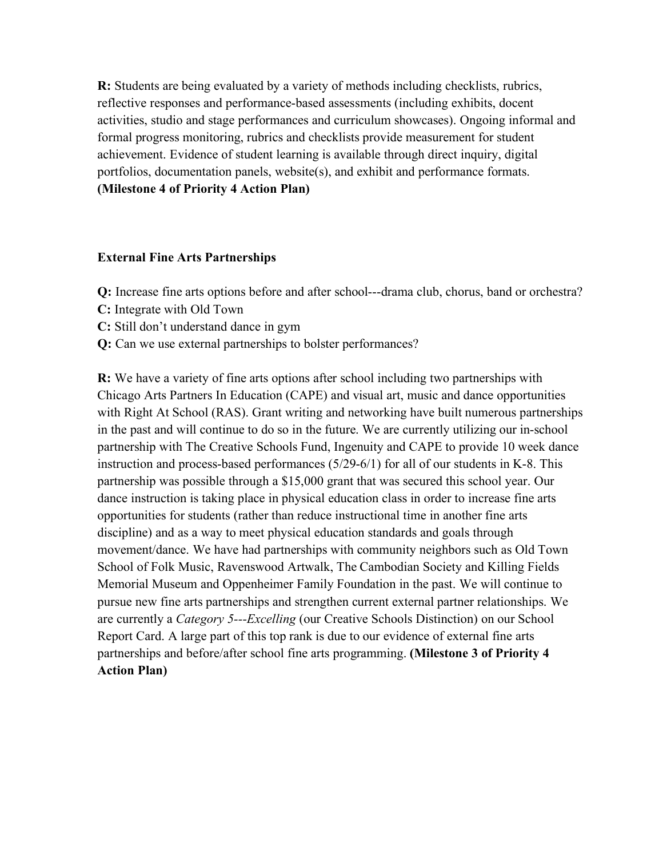**R:** Students are being evaluated by a variety of methods including checklists, rubrics, reflective responses and performance-based assessments (including exhibits, docent activities, studio and stage performances and curriculum showcases). Ongoing informal and formal progress monitoring, rubrics and checklists provide measurement for student achievement. Evidence of student learning is available through direct inquiry, digital portfolios, documentation panels, website(s), and exhibit and performance formats. **(Milestone 4 of Priority 4 Action Plan)**

#### **External Fine Arts Partnerships**

- **Q:** Increase fine arts options before and after school---drama club, chorus, band or orchestra?
- **C:** Integrate with Old Town
- **C:** Still don't understand dance in gym
- **Q:** Can we use external partnerships to bolster performances?

**R:** We have a variety of fine arts options after school including two partnerships with Chicago Arts Partners In Education (CAPE) and visual art, music and dance opportunities with Right At School (RAS). Grant writing and networking have built numerous partnerships in the past and will continue to do so in the future. We are currently utilizing our in-school partnership with The Creative Schools Fund, Ingenuity and CAPE to provide 10 week dance instruction and process-based performances (5/29-6/1) for all of our students in K-8. This partnership was possible through a \$15,000 grant that was secured this school year. Our dance instruction is taking place in physical education class in order to increase fine arts opportunities for students (rather than reduce instructional time in another fine arts discipline) and as a way to meet physical education standards and goals through movement/dance. We have had partnerships with community neighbors such as Old Town School of Folk Music, Ravenswood Artwalk, The Cambodian Society and Killing Fields Memorial Museum and Oppenheimer Family Foundation in the past. We will continue to pursue new fine arts partnerships and strengthen current external partner relationships. We are currently a *Category 5---Excelling* (our Creative Schools Distinction) on our School Report Card. A large part of this top rank is due to our evidence of external fine arts partnerships and before/after school fine arts programming. **(Milestone 3 of Priority 4 Action Plan)**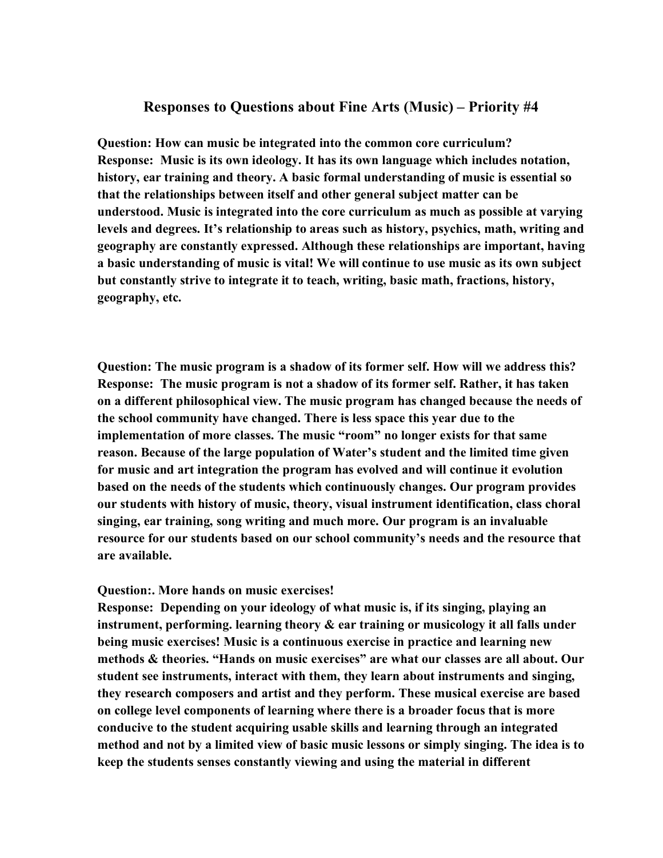#### **Responses to Questions about Fine Arts (Music) – Priority #4**

**Question: How can music be integrated into the common core curriculum? Response: Music is its own ideology. It has its own language which includes notation, history, ear training and theory. A basic formal understanding of music is essential so that the relationships between itself and other general subject matter can be understood. Music is integrated into the core curriculum as much as possible at varying levels and degrees. It's relationship to areas such as history, psychics, math, writing and geography are constantly expressed. Although these relationships are important, having a basic understanding of music is vital! We will continue to use music as its own subject but constantly strive to integrate it to teach, writing, basic math, fractions, history, geography, etc.**

**Question: The music program is a shadow of its former self. How will we address this? Response: The music program is not a shadow of its former self. Rather, it has taken on a different philosophical view. The music program has changed because the needs of the school community have changed. There is less space this year due to the implementation of more classes. The music "room" no longer exists for that same reason. Because of the large population of Water's student and the limited time given for music and art integration the program has evolved and will continue it evolution based on the needs of the students which continuously changes. Our program provides our students with history of music, theory, visual instrument identification, class choral singing, ear training, song writing and much more. Our program is an invaluable resource for our students based on our school community's needs and the resource that are available.**

#### **Question:. More hands on music exercises!**

**Response: Depending on your ideology of what music is, if its singing, playing an instrument, performing. learning theory & ear training or musicology it all falls under being music exercises! Music is a continuous exercise in practice and learning new methods & theories. "Hands on music exercises" are what our classes are all about. Our student see instruments, interact with them, they learn about instruments and singing, they research composers and artist and they perform. These musical exercise are based on college level components of learning where there is a broader focus that is more conducive to the student acquiring usable skills and learning through an integrated method and not by a limited view of basic music lessons or simply singing. The idea is to keep the students senses constantly viewing and using the material in different**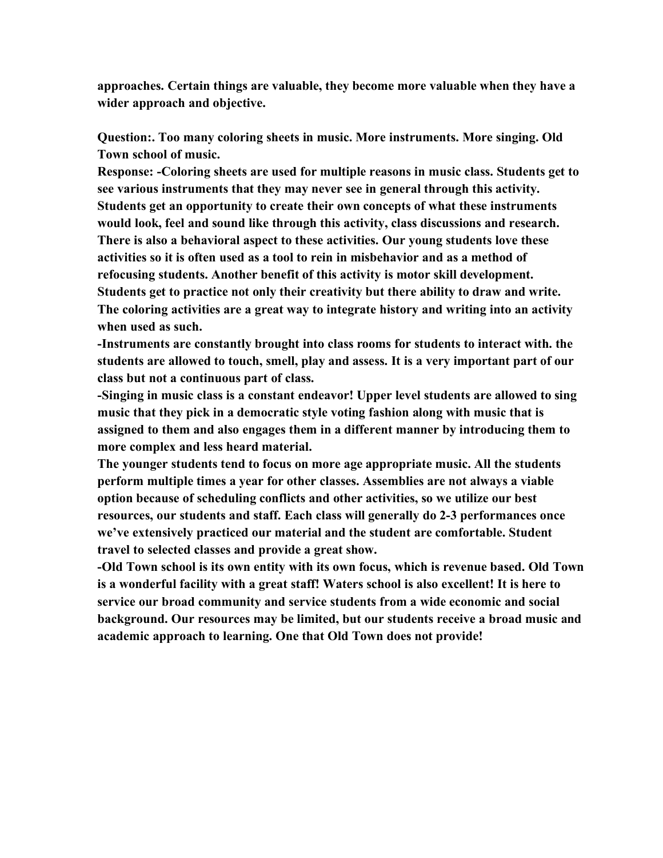**approaches. Certain things are valuable, they become more valuable when they have a wider approach and objective.**

**Question:. Too many coloring sheets in music. More instruments. More singing. Old Town school of music.**

**Response: -Coloring sheets are used for multiple reasons in music class. Students get to see various instruments that they may never see in general through this activity. Students get an opportunity to create their own concepts of what these instruments would look, feel and sound like through this activity, class discussions and research. There is also a behavioral aspect to these activities. Our young students love these activities so it is often used as a tool to rein in misbehavior and as a method of refocusing students. Another benefit of this activity is motor skill development. Students get to practice not only their creativity but there ability to draw and write. The coloring activities are a great way to integrate history and writing into an activity when used as such.**

**-Instruments are constantly brought into class rooms for students to interact with. the students are allowed to touch, smell, play and assess. It is a very important part of our class but not a continuous part of class.**

**-Singing in music class is a constant endeavor! Upper level students are allowed to sing music that they pick in a democratic style voting fashion along with music that is assigned to them and also engages them in a different manner by introducing them to more complex and less heard material.**

**The younger students tend to focus on more age appropriate music. All the students perform multiple times a year for other classes. Assemblies are not always a viable option because of scheduling conflicts and other activities, so we utilize our best resources, our students and staff. Each class will generally do 2-3 performances once we've extensively practiced our material and the student are comfortable. Student travel to selected classes and provide a great show.**

**-Old Town school is its own entity with its own focus, which is revenue based. Old Town is a wonderful facility with a great staff! Waters school is also excellent! It is here to service our broad community and service students from a wide economic and social background. Our resources may be limited, but our students receive a broad music and academic approach to learning. One that Old Town does not provide!**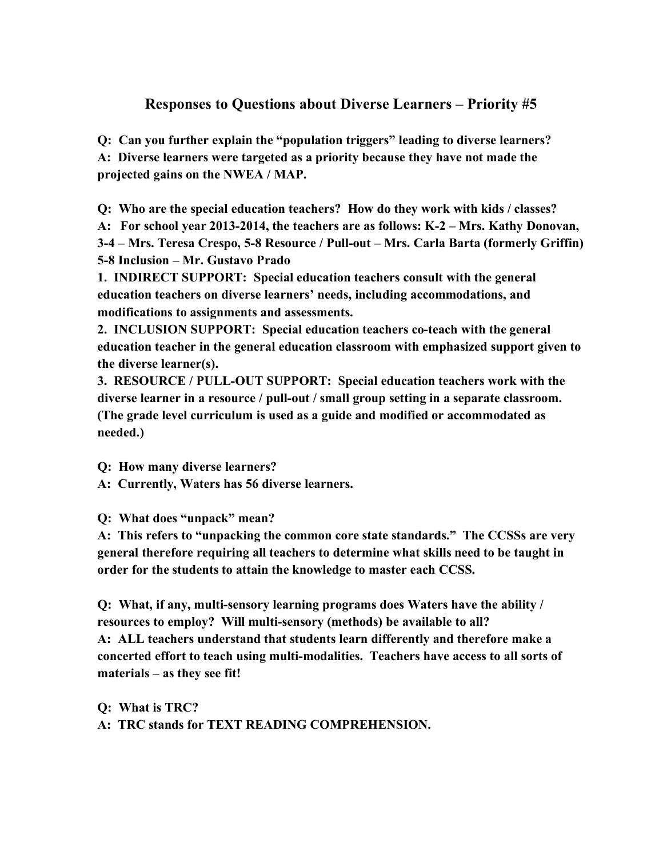## **Responses to Questions about Diverse Learners – Priority #5**

**Q: Can you further explain the "population triggers" leading to diverse learners? A: Diverse learners were targeted as a priority because they have not made the projected gains on the NWEA / MAP.**

**Q: Who are the special education teachers? How do they work with kids / classes? A: For school year 2013-2014, the teachers are as follows: K-2 – Mrs. Kathy Donovan, 3-4 – Mrs. Teresa Crespo, 5-8 Resource / Pull-out – Mrs. Carla Barta (formerly Griffin) 5-8 Inclusion – Mr. Gustavo Prado**

**1. INDIRECT SUPPORT: Special education teachers consult with the general education teachers on diverse learners' needs, including accommodations, and modifications to assignments and assessments.** 

**2. INCLUSION SUPPORT: Special education teachers co-teach with the general education teacher in the general education classroom with emphasized support given to the diverse learner(s).** 

**3. RESOURCE / PULL-OUT SUPPORT: Special education teachers work with the diverse learner in a resource / pull-out / small group setting in a separate classroom. (The grade level curriculum is used as a guide and modified or accommodated as needed.)** 

**Q: How many diverse learners?** 

**A: Currently, Waters has 56 diverse learners.** 

**Q: What does "unpack" mean?**

**A: This refers to "unpacking the common core state standards." The CCSSs are very general therefore requiring all teachers to determine what skills need to be taught in order for the students to attain the knowledge to master each CCSS.** 

**Q: What, if any, multi-sensory learning programs does Waters have the ability / resources to employ? Will multi-sensory (methods) be available to all? A: ALL teachers understand that students learn differently and therefore make a concerted effort to teach using multi-modalities. Teachers have access to all sorts of materials – as they see fit!**

**Q: What is TRC? A: TRC stands for TEXT READING COMPREHENSION.**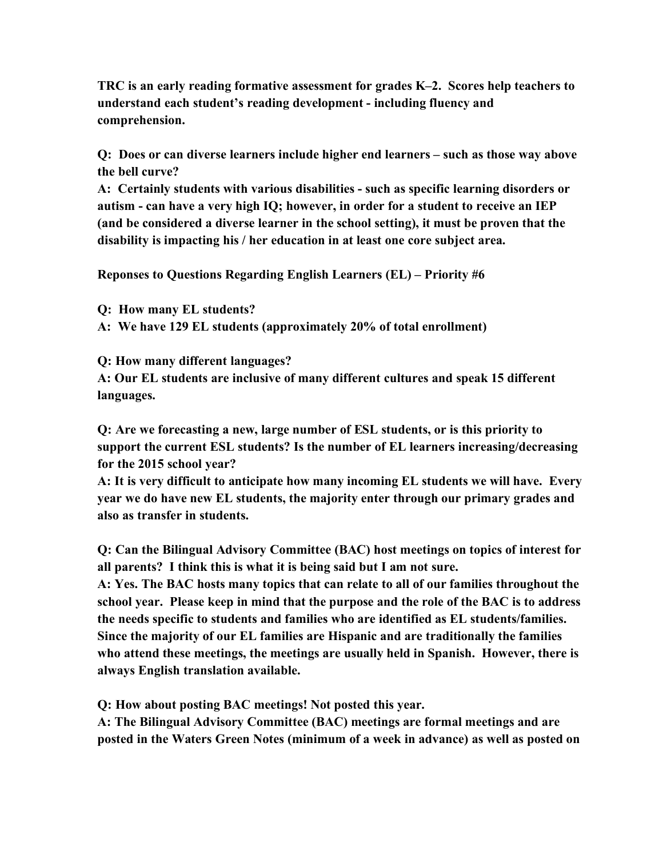**TRC is an early reading formative assessment for grades K–2. Scores help teachers to understand each student's reading development - including fluency and comprehension.**

**Q: Does or can diverse learners include higher end learners – such as those way above the bell curve?**

**A: Certainly students with various disabilities - such as specific learning disorders or autism - can have a very high IQ; however, in order for a student to receive an IEP (and be considered a diverse learner in the school setting), it must be proven that the disability is impacting his / her education in at least one core subject area.**

**Reponses to Questions Regarding English Learners (EL) – Priority #6**

**Q: How many EL students?** 

**A: We have 129 EL students (approximately 20% of total enrollment)**

**Q: How many different languages?**

**A: Our EL students are inclusive of many different cultures and speak 15 different languages.**

**Q: Are we forecasting a new, large number of ESL students, or is this priority to support the current ESL students? Is the number of EL learners increasing/decreasing for the 2015 school year?**

**A: It is very difficult to anticipate how many incoming EL students we will have. Every year we do have new EL students, the majority enter through our primary grades and also as transfer in students.**

**Q: Can the Bilingual Advisory Committee (BAC) host meetings on topics of interest for all parents? I think this is what it is being said but I am not sure.**

**A: Yes. The BAC hosts many topics that can relate to all of our families throughout the school year. Please keep in mind that the purpose and the role of the BAC is to address the needs specific to students and families who are identified as EL students/families. Since the majority of our EL families are Hispanic and are traditionally the families who attend these meetings, the meetings are usually held in Spanish. However, there is always English translation available.** 

**Q: How about posting BAC meetings! Not posted this year.**

**A: The Bilingual Advisory Committee (BAC) meetings are formal meetings and are posted in the Waters Green Notes (minimum of a week in advance) as well as posted on**